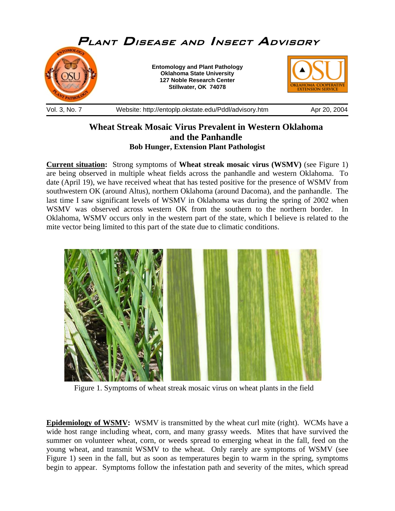

## **Wheat Streak Mosaic Virus Prevalent in Western Oklahoma and the Panhandle Bob Hunger, Extension Plant Pathologist**

**Current situation:** Strong symptoms of **Wheat streak mosaic virus (WSMV)** (see Figure 1) are being observed in multiple wheat fields across the panhandle and western Oklahoma. To date (April 19), we have received wheat that has tested positive for the presence of WSMV from southwestern OK (around Altus), northern Oklahoma (around Dacoma), and the panhandle. The last time I saw significant levels of WSMV in Oklahoma was during the spring of 2002 when WSMV was observed across western OK from the southern to the northern border. In Oklahoma, WSMV occurs only in the western part of the state, which I believe is related to the mite vector being limited to this part of the state due to climatic conditions.



Figure 1. Symptoms of wheat streak mosaic virus on wheat plants in the field

**Epidemiology of WSMV:** WSMV is transmitted by the wheat curl mite (right). WCMs have a wide host range including wheat, corn, and many grassy weeds. Mites that have survived the summer on volunteer wheat, corn, or weeds spread to emerging wheat in the fall, feed on the young wheat, and transmit WSMV to the wheat. Only rarely are symptoms of WSMV (see Figure 1) seen in the fall, but as soon as temperatures begin to warm in the spring, symptoms begin to appear. Symptoms follow the infestation path and severity of the mites, which spread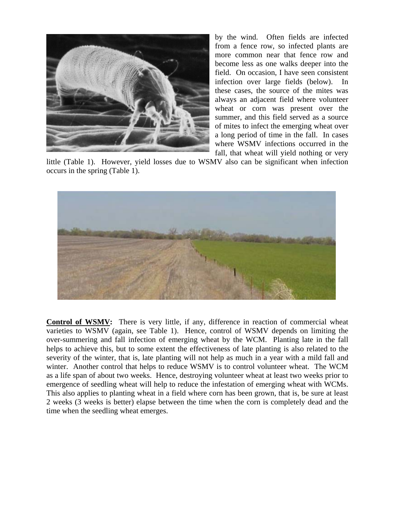

by the wind. Often fields are infected from a fence row, so infected plants are more common near that fence row and become less as one walks deeper into the field. On occasion, I have seen consistent infection over large fields (below). In these cases, the source of the mites was always an adjacent field where volunteer wheat or corn was present over the summer, and this field served as a source of mites to infect the emerging wheat over a long period of time in the fall. In cases where WSMV infections occurred in the fall, that wheat will yield nothing or very

little (Table 1). However, yield losses due to WSMV also can be significant when infection occurs in the spring (Table 1).



**Control of WSMV:** There is very little, if any, difference in reaction of commercial wheat varieties to WSMV (again, see Table 1). Hence, control of WSMV depends on limiting the over-summering and fall infection of emerging wheat by the WCM. Planting late in the fall helps to achieve this, but to some extent the effectiveness of late planting is also related to the severity of the winter, that is, late planting will not help as much in a year with a mild fall and winter. Another control that helps to reduce WSMV is to control volunteer wheat. The WCM as a life span of about two weeks. Hence, destroying volunteer wheat at least two weeks prior to emergence of seedling wheat will help to reduce the infestation of emerging wheat with WCMs. This also applies to planting wheat in a field where corn has been grown, that is, be sure at least 2 weeks (3 weeks is better) elapse between the time when the corn is completely dead and the time when the seedling wheat emerges.